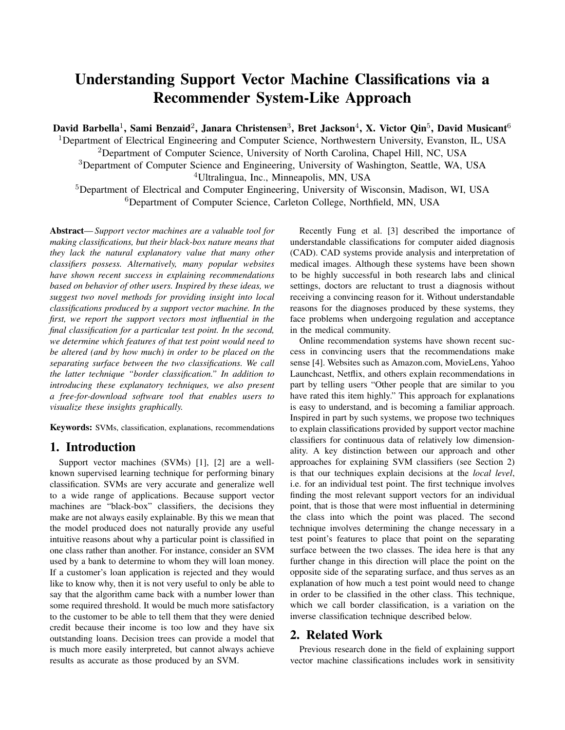# Understanding Support Vector Machine Classifications via a Recommender System-Like Approach

David Barbella<sup>1</sup>, Sami Benzaid<sup>2</sup>, Janara Christensen<sup>3</sup>, Bret Jackson<sup>4</sup>, X. Victor Qin<sup>5</sup>, David Musicant<sup>6</sup>

<sup>1</sup>Department of Electrical Engineering and Computer Science, Northwestern University, Evanston, IL, USA

<sup>2</sup>Department of Computer Science, University of North Carolina, Chapel Hill, NC, USA

<sup>3</sup>Department of Computer Science and Engineering, University of Washington, Seattle, WA, USA

<sup>4</sup>Ultralingua, Inc., Minneapolis, MN, USA

<sup>5</sup>Department of Electrical and Computer Engineering, University of Wisconsin, Madison, WI, USA <sup>6</sup>Department of Computer Science, Carleton College, Northfield, MN, USA

Abstract— *Support vector machines are a valuable tool for making classifications, but their black-box nature means that they lack the natural explanatory value that many other classifiers possess. Alternatively, many popular websites have shown recent success in explaining recommendations based on behavior of other users. Inspired by these ideas, we suggest two novel methods for providing insight into local classifications produced by a support vector machine. In the first, we report the support vectors most influential in the final classification for a particular test point. In the second, we determine which features of that test point would need to be altered (and by how much) in order to be placed on the separating surface between the two classifications. We call the latter technique "border classification." In addition to introducing these explanatory techniques, we also present a free-for-download software tool that enables users to visualize these insights graphically.*

Keywords: SVMs, classification, explanations, recommendations

#### 1. Introduction

Support vector machines (SVMs) [1], [2] are a wellknown supervised learning technique for performing binary classification. SVMs are very accurate and generalize well to a wide range of applications. Because support vector machines are "black-box" classifiers, the decisions they make are not always easily explainable. By this we mean that the model produced does not naturally provide any useful intuitive reasons about why a particular point is classified in one class rather than another. For instance, consider an SVM used by a bank to determine to whom they will loan money. If a customer's loan application is rejected and they would like to know why, then it is not very useful to only be able to say that the algorithm came back with a number lower than some required threshold. It would be much more satisfactory to the customer to be able to tell them that they were denied credit because their income is too low and they have six outstanding loans. Decision trees can provide a model that is much more easily interpreted, but cannot always achieve results as accurate as those produced by an SVM.

Recently Fung et al. [3] described the importance of understandable classifications for computer aided diagnosis (CAD). CAD systems provide analysis and interpretation of medical images. Although these systems have been shown to be highly successful in both research labs and clinical settings, doctors are reluctant to trust a diagnosis without receiving a convincing reason for it. Without understandable reasons for the diagnoses produced by these systems, they face problems when undergoing regulation and acceptance in the medical community.

Online recommendation systems have shown recent success in convincing users that the recommendations make sense [4]. Websites such as Amazon.com, MovieLens, Yahoo Launchcast, Netflix, and others explain recommendations in part by telling users "Other people that are similar to you have rated this item highly." This approach for explanations is easy to understand, and is becoming a familiar approach. Inspired in part by such systems, we propose two techniques to explain classifications provided by support vector machine classifiers for continuous data of relatively low dimensionality. A key distinction between our approach and other approaches for explaining SVM classifiers (see Section 2) is that our techniques explain decisions at the *local level*, i.e. for an individual test point. The first technique involves finding the most relevant support vectors for an individual point, that is those that were most influential in determining the class into which the point was placed. The second technique involves determining the change necessary in a test point's features to place that point on the separating surface between the two classes. The idea here is that any further change in this direction will place the point on the opposite side of the separating surface, and thus serves as an explanation of how much a test point would need to change in order to be classified in the other class. This technique, which we call border classification, is a variation on the inverse classification technique described below.

## 2. Related Work

Previous research done in the field of explaining support vector machine classifications includes work in sensitivity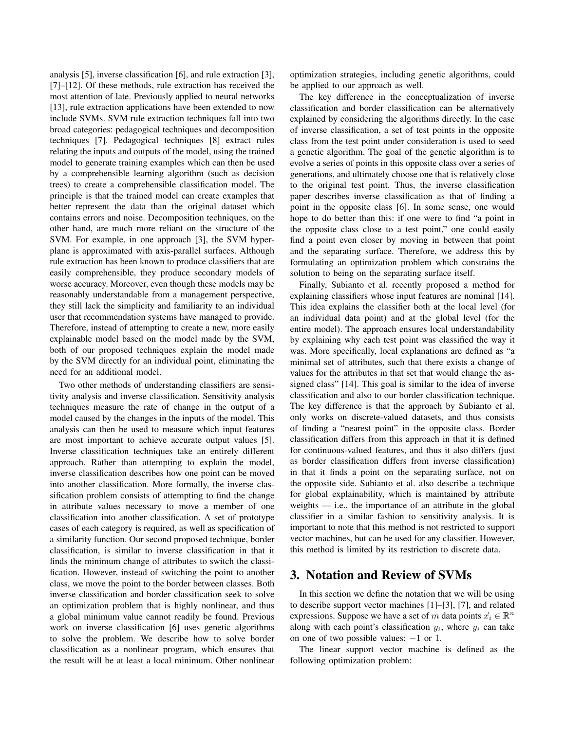analysis [5], inverse classification [6], and rule extraction [3], [7]–[12]. Of these methods, rule extraction has received the most attention of late. Previously applied to neural networks [13], rule extraction applications have been extended to now include SVMs. SVM rule extraction techniques fall into two broad categories: pedagogical techniques and decomposition techniques [7]. Pedagogical techniques [8] extract rules relating the inputs and outputs of the model, using the trained model to generate training examples which can then be used by a comprehensible learning algorithm (such as decision trees) to create a comprehensible classification model. The principle is that the trained model can create examples that better represent the data than the original dataset which contains errors and noise. Decomposition techniques, on the other hand, are much more reliant on the structure of the SVM. For example, in one approach [3], the SVM hyperplane is approximated with axis-parallel surfaces. Although rule extraction has been known to produce classifiers that are easily comprehensible, they produce secondary models of worse accuracy. Moreover, even though these models may be reasonably understandable from a management perspective, they still lack the simplicity and familiarity to an individual user that recommendation systems have managed to provide. Therefore, instead of attempting to create a new, more easily explainable model based on the model made by the SVM, both of our proposed techniques explain the model made by the SVM directly for an individual point, eliminating the need for an additional model.

Two other methods of understanding classifiers are sensitivity analysis and inverse classification. Sensitivity analysis techniques measure the rate of change in the output of a model caused by the changes in the inputs of the model. This analysis can then be used to measure which input features are most important to achieve accurate output values [5]. Inverse classification techniques take an entirely different approach. Rather than attempting to explain the model, inverse classification describes how one point can be moved into another classification. More formally, the inverse classification problem consists of attempting to find the change in attribute values necessary to move a member of one classification into another classification. A set of prototype cases of each category is required, as well as specification of a similarity function. Our second proposed technique, border classification, is similar to inverse classification in that it finds the minimum change of attributes to switch the classification. However, instead of switching the point to another class, we move the point to the border between classes. Both inverse classification and border classification seek to solve an optimization problem that is highly nonlinear, and thus a global minimum value cannot readily be found. Previous work on inverse classification [6] uses genetic algorithms to solve the problem. We describe how to solve border classification as a nonlinear program, which ensures that the result will be at least a local minimum. Other nonlinear optimization strategies, including genetic algorithms, could be applied to our approach as well.

The key difference in the conceptualization of inverse classification and border classification can be alternatively explained by considering the algorithms directly. In the case of inverse classification, a set of test points in the opposite class from the test point under consideration is used to seed a genetic algorithm. The goal of the genetic algorithm is to evolve a series of points in this opposite class over a series of generations, and ultimately choose one that is relatively close to the original test point. Thus, the inverse classification paper describes inverse classification as that of finding a point in the opposite class [6]. In some sense, one would hope to do better than this: if one were to find "a point in the opposite class close to a test point," one could easily find a point even closer by moving in between that point and the separating surface. Therefore, we address this by formulating an optimization problem which constrains the solution to being on the separating surface itself.

Finally, Subianto et al. recently proposed a method for explaining classifiers whose input features are nominal [14]. This idea explains the classifier both at the local level (for an individual data point) and at the global level (for the entire model). The approach ensures local understandability by explaining why each test point was classified the way it was. More specifically, local explanations are defined as "a minimal set of attributes, such that there exists a change of values for the attributes in that set that would change the assigned class" [14]. This goal is similar to the idea of inverse classification and also to our border classification technique. The key difference is that the approach by Subianto et al. only works on discrete-valued datasets, and thus consists of finding a "nearest point" in the opposite class. Border classification differs from this approach in that it is defined for continuous-valued features, and thus it also differs (just as border classification differs from inverse classification) in that it finds a point on the separating surface, not on the opposite side. Subianto et al. also describe a technique for global explainability, which is maintained by attribute weights  $-$  i.e., the importance of an attribute in the global classifier in a similar fashion to sensitivity analysis. It is important to note that this method is not restricted to support vector machines, but can be used for any classifier. However, this method is limited by its restriction to discrete data.

## 3. Notation and Review of SVMs

In this section we define the notation that we will be using to describe support vector machines [1]–[3], [7], and related expressions. Suppose we have a set of m data points  $\vec{x}_i \in \mathbb{R}^n$ along with each point's classification  $y_i$ , where  $y_i$  can take on one of two possible values: −1 or 1.

The linear support vector machine is defined as the following optimization problem: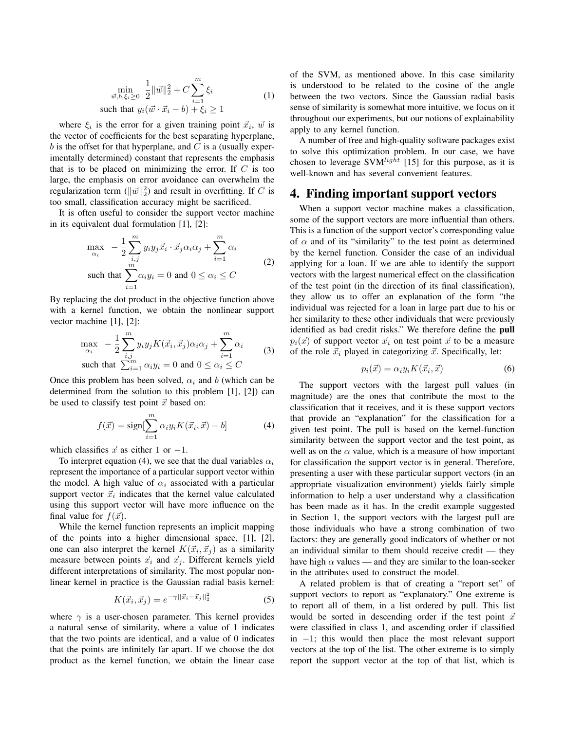$$
\min_{\vec{w}, b, \xi_i \ge 0} \frac{1}{2} ||\vec{w}||_2^2 + C \sum_{i=1}^m \xi_i
$$
\nsuch that  $y_i(\vec{w} \cdot \vec{x}_i - b) + \xi_i \ge 1$ 

\n(1)

where  $\xi_i$  is the error for a given training point  $\vec{x}_i$ ,  $\vec{w}$  is the vector of coefficients for the best separating hyperplane,  $b$  is the offset for that hyperplane, and  $C$  is a (usually experimentally determined) constant that represents the emphasis that is to be placed on minimizing the error. If  $C$  is too large, the emphasis on error avoidance can overwhelm the regularization term  $(\|\vec{w}\|_2^2)$  and result in overfitting. If C is too small, classification accuracy might be sacrificed.

It is often useful to consider the support vector machine in its equivalent dual formulation [1], [2]:

$$
\max_{\alpha_i} -\frac{1}{2} \sum_{\substack{i,j \ n \\ \text{such that}}}^m y_i y_j \vec{x}_i \cdot \vec{x}_j \alpha_i \alpha_j + \sum_{i=1}^m \alpha_i
$$
\n
$$
\text{such that } \sum_{i=1}^m \alpha_i y_i = 0 \text{ and } 0 \le \alpha_i \le C
$$
\n
$$
(2)
$$

By replacing the dot product in the objective function above with a kernel function, we obtain the nonlinear support vector machine [1], [2]:

$$
\max_{\alpha_i} \quad -\frac{1}{2} \sum_{i,j}^{m} y_i y_j K(\vec{x}_i, \vec{x}_j) \alpha_i \alpha_j + \sum_{i=1}^{m} \alpha_i
$$
\nsuch that

\n
$$
\sum_{i=1}^{m} \alpha_i y_i = 0 \text{ and } 0 \leq \alpha_i \leq C
$$
\n(3)

Once this problem has been solved,  $\alpha_i$  and b (which can be determined from the solution to this problem [1], [2]) can be used to classify test point  $\vec{x}$  based on:

$$
f(\vec{x}) = \text{sign}[\sum_{i=1}^{m} \alpha_i y_i K(\vec{x}_i, \vec{x}) - b]
$$
 (4)

which classifies  $\vec{x}$  as either 1 or -1.

To interpret equation (4), we see that the dual variables  $\alpha_i$ represent the importance of a particular support vector within the model. A high value of  $\alpha_i$  associated with a particular support vector  $\vec{x}_i$  indicates that the kernel value calculated using this support vector will have more influence on the final value for  $f(\vec{x})$ .

While the kernel function represents an implicit mapping of the points into a higher dimensional space, [1], [2], one can also interpret the kernel  $K(\vec{x}_i, \vec{x}_j)$  as a similarity measure between points  $\vec{x}_i$  and  $\vec{x}_j$ . Different kernels yield different interpretations of similarity. The most popular nonlinear kernel in practice is the Gaussian radial basis kernel:

$$
K(\vec{x}_i, \vec{x}_j) = e^{-\gamma ||\vec{x}_i - \vec{x}_j||_2^2}
$$
 (5)

where  $\gamma$  is a user-chosen parameter. This kernel provides a natural sense of similarity, where a value of 1 indicates that the two points are identical, and a value of 0 indicates that the points are infinitely far apart. If we choose the dot product as the kernel function, we obtain the linear case of the SVM, as mentioned above. In this case similarity is understood to be related to the cosine of the angle between the two vectors. Since the Gaussian radial basis sense of similarity is somewhat more intuitive, we focus on it throughout our experiments, but our notions of explainability apply to any kernel function.

A number of free and high-quality software packages exist to solve this optimization problem. In our case, we have chosen to leverage SVM<sup>light</sup> [15] for this purpose, as it is well-known and has several convenient features.

## 4. Finding important support vectors

When a support vector machine makes a classification, some of the support vectors are more influential than others. This is a function of the support vector's corresponding value of  $\alpha$  and of its "similarity" to the test point as determined by the kernel function. Consider the case of an individual applying for a loan. If we are able to identify the support vectors with the largest numerical effect on the classification of the test point (in the direction of its final classification), they allow us to offer an explanation of the form "the individual was rejected for a loan in large part due to his or her similarity to these other individuals that were previously identified as bad credit risks." We therefore define the pull  $p_i(\vec{x})$  of support vector  $\vec{x}_i$  on test point  $\vec{x}$  to be a measure of the role  $\vec{x}_i$  played in categorizing  $\vec{x}$ . Specifically, let:

$$
p_i(\vec{x}) = \alpha_i y_i K(\vec{x}_i, \vec{x}) \tag{6}
$$

The support vectors with the largest pull values (in magnitude) are the ones that contribute the most to the classification that it receives, and it is these support vectors that provide an "explanation" for the classification for a given test point. The pull is based on the kernel-function similarity between the support vector and the test point, as well as on the  $\alpha$  value, which is a measure of how important for classification the support vector is in general. Therefore, presenting a user with these particular support vectors (in an appropriate visualization environment) yields fairly simple information to help a user understand why a classification has been made as it has. In the credit example suggested in Section 1, the support vectors with the largest pull are those individuals who have a strong combination of two factors: they are generally good indicators of whether or not an individual similar to them should receive credit — they have high  $\alpha$  values — and they are similar to the loan-seeker in the attributes used to construct the model.

A related problem is that of creating a "report set" of support vectors to report as "explanatory." One extreme is to report all of them, in a list ordered by pull. This list would be sorted in descending order if the test point  $\vec{x}$ were classified in class 1, and ascending order if classified in −1; this would then place the most relevant support vectors at the top of the list. The other extreme is to simply report the support vector at the top of that list, which is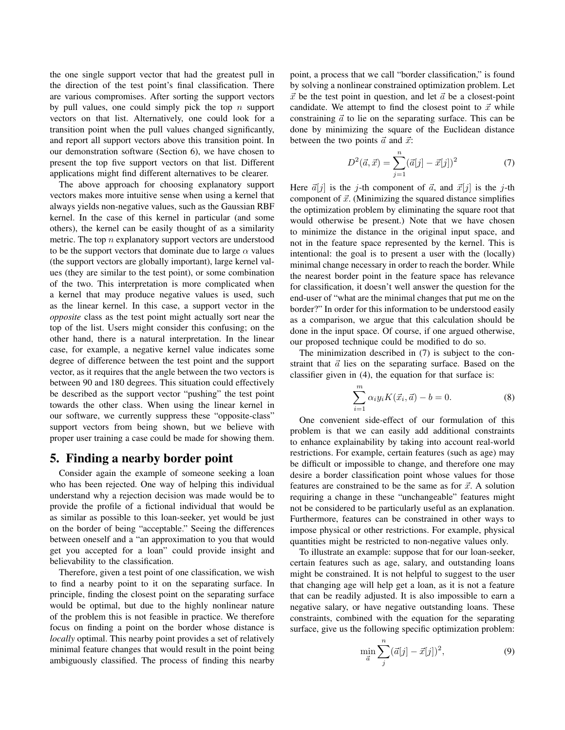the one single support vector that had the greatest pull in the direction of the test point's final classification. There are various compromises. After sorting the support vectors by pull values, one could simply pick the top  $n$  support vectors on that list. Alternatively, one could look for a transition point when the pull values changed significantly, and report all support vectors above this transition point. In our demonstration software (Section 6), we have chosen to present the top five support vectors on that list. Different applications might find different alternatives to be clearer.

The above approach for choosing explanatory support vectors makes more intuitive sense when using a kernel that always yields non-negative values, such as the Gaussian RBF kernel. In the case of this kernel in particular (and some others), the kernel can be easily thought of as a similarity metric. The top  $n$  explanatory support vectors are understood to be the support vectors that dominate due to large  $\alpha$  values (the support vectors are globally important), large kernel values (they are similar to the test point), or some combination of the two. This interpretation is more complicated when a kernel that may produce negative values is used, such as the linear kernel. In this case, a support vector in the *opposite* class as the test point might actually sort near the top of the list. Users might consider this confusing; on the other hand, there is a natural interpretation. In the linear case, for example, a negative kernel value indicates some degree of difference between the test point and the support vector, as it requires that the angle between the two vectors is between 90 and 180 degrees. This situation could effectively be described as the support vector "pushing" the test point towards the other class. When using the linear kernel in our software, we currently suppress these "opposite-class" support vectors from being shown, but we believe with proper user training a case could be made for showing them.

#### 5. Finding a nearby border point

Consider again the example of someone seeking a loan who has been rejected. One way of helping this individual understand why a rejection decision was made would be to provide the profile of a fictional individual that would be as similar as possible to this loan-seeker, yet would be just on the border of being "acceptable." Seeing the differences between oneself and a "an approximation to you that would get you accepted for a loan" could provide insight and believability to the classification.

Therefore, given a test point of one classification, we wish to find a nearby point to it on the separating surface. In principle, finding the closest point on the separating surface would be optimal, but due to the highly nonlinear nature of the problem this is not feasible in practice. We therefore focus on finding a point on the border whose distance is *locally* optimal. This nearby point provides a set of relatively minimal feature changes that would result in the point being ambiguously classified. The process of finding this nearby point, a process that we call "border classification," is found by solving a nonlinear constrained optimization problem. Let  $\vec{x}$  be the test point in question, and let  $\vec{a}$  be a closest-point candidate. We attempt to find the closest point to  $\vec{x}$  while constraining  $\vec{a}$  to lie on the separating surface. This can be done by minimizing the square of the Euclidean distance between the two points  $\vec{a}$  and  $\vec{x}$ :

$$
D^{2}(\vec{a},\vec{x}) = \sum_{j=1}^{n} (\vec{a}[j] - \vec{x}[j])^{2}
$$
 (7)

Here  $\vec{a}[j]$  is the j-th component of  $\vec{a}$ , and  $\vec{x}[j]$  is the j-th component of  $\vec{x}$ . (Minimizing the squared distance simplifies the optimization problem by eliminating the square root that would otherwise be present.) Note that we have chosen to minimize the distance in the original input space, and not in the feature space represented by the kernel. This is intentional: the goal is to present a user with the (locally) minimal change necessary in order to reach the border. While the nearest border point in the feature space has relevance for classification, it doesn't well answer the question for the end-user of "what are the minimal changes that put me on the border?" In order for this information to be understood easily as a comparison, we argue that this calculation should be done in the input space. Of course, if one argued otherwise, our proposed technique could be modified to do so.

The minimization described in (7) is subject to the constraint that  $\vec{a}$  lies on the separating surface. Based on the classifier given in (4), the equation for that surface is:

$$
\sum_{i=1}^{m} \alpha_i y_i K(\vec{x}_i, \vec{a}) - b = 0.
$$
 (8)

One convenient side-effect of our formulation of this problem is that we can easily add additional constraints to enhance explainability by taking into account real-world restrictions. For example, certain features (such as age) may be difficult or impossible to change, and therefore one may desire a border classification point whose values for those features are constrained to be the same as for  $\vec{x}$ . A solution requiring a change in these "unchangeable" features might not be considered to be particularly useful as an explanation. Furthermore, features can be constrained in other ways to impose physical or other restrictions. For example, physical quantities might be restricted to non-negative values only.

To illustrate an example: suppose that for our loan-seeker, certain features such as age, salary, and outstanding loans might be constrained. It is not helpful to suggest to the user that changing age will help get a loan, as it is not a feature that can be readily adjusted. It is also impossible to earn a negative salary, or have negative outstanding loans. These constraints, combined with the equation for the separating surface, give us the following specific optimization problem:

$$
\min_{\vec{a}} \sum_{j}^{n} (\vec{a}[j] - \vec{x}[j])^{2},
$$
\n(9)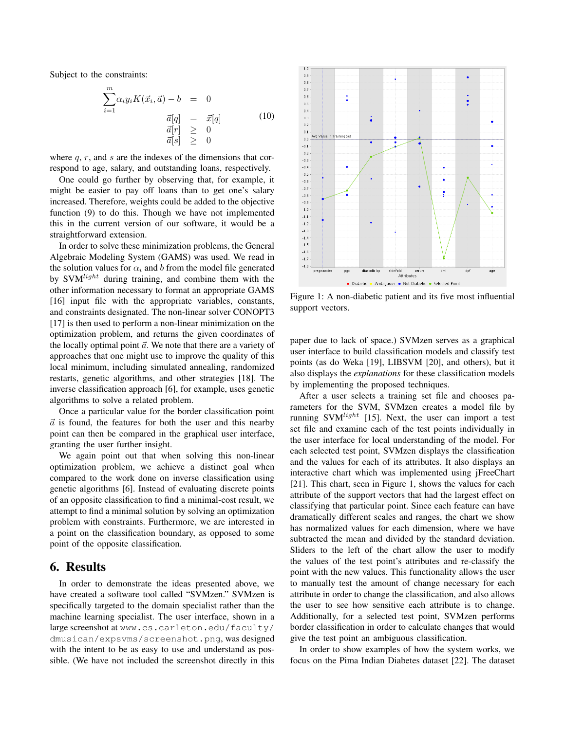Subject to the constraints:

$$
\sum_{i=1}^{m} \alpha_i y_i K(\vec{x}_i, \vec{a}) - b = 0
$$
  
\n
$$
\vec{a}[q] = \vec{x}[q] \qquad (10)
$$
  
\n
$$
\vec{a}[r] \ge 0
$$
  
\n
$$
\vec{a}[s] \ge 0
$$

where  $q, r$ , and  $s$  are the indexes of the dimensions that correspond to age, salary, and outstanding loans, respectively.

One could go further by observing that, for example, it might be easier to pay off loans than to get one's salary increased. Therefore, weights could be added to the objective function (9) to do this. Though we have not implemented this in the current version of our software, it would be a straightforward extension.

In order to solve these minimization problems, the General Algebraic Modeling System (GAMS) was used. We read in the solution values for  $\alpha_i$  and b from the model file generated by  $SVM<sup>light</sup>$  during training, and combine them with the other information necessary to format an appropriate GAMS [16] input file with the appropriate variables, constants, and constraints designated. The non-linear solver CONOPT3 [17] is then used to perform a non-linear minimization on the optimization problem, and returns the given coordinates of the locally optimal point  $\vec{a}$ . We note that there are a variety of approaches that one might use to improve the quality of this local minimum, including simulated annealing, randomized restarts, genetic algorithms, and other strategies [18]. The inverse classification approach [6], for example, uses genetic algorithms to solve a related problem.

Once a particular value for the border classification point  $\vec{a}$  is found, the features for both the user and this nearby point can then be compared in the graphical user interface, granting the user further insight.

We again point out that when solving this non-linear optimization problem, we achieve a distinct goal when compared to the work done on inverse classification using genetic algorithms [6]. Instead of evaluating discrete points of an opposite classification to find a minimal-cost result, we attempt to find a minimal solution by solving an optimization problem with constraints. Furthermore, we are interested in a point on the classification boundary, as opposed to some point of the opposite classification.

#### 6. Results

In order to demonstrate the ideas presented above, we have created a software tool called "SVMzen." SVMzen is specifically targeted to the domain specialist rather than the machine learning specialist. The user interface, shown in a large screenshot at www.cs.carleton.edu/faculty/ dmusican/expsvms/screenshot.png, was designed with the intent to be as easy to use and understand as possible. (We have not included the screenshot directly in this



Figure 1: A non-diabetic patient and its five most influential support vectors.

paper due to lack of space.) SVMzen serves as a graphical user interface to build classification models and classify test points (as do Weka [19], LIBSVM [20], and others), but it also displays the *explanations* for these classification models by implementing the proposed techniques.

After a user selects a training set file and chooses parameters for the SVM, SVMzen creates a model file by running SVM $^{light}$  [15]. Next, the user can import a test set file and examine each of the test points individually in the user interface for local understanding of the model. For each selected test point, SVMzen displays the classification and the values for each of its attributes. It also displays an interactive chart which was implemented using jFreeChart [21]. This chart, seen in Figure 1, shows the values for each attribute of the support vectors that had the largest effect on classifying that particular point. Since each feature can have dramatically different scales and ranges, the chart we show has normalized values for each dimension, where we have subtracted the mean and divided by the standard deviation. Sliders to the left of the chart allow the user to modify the values of the test point's attributes and re-classify the point with the new values. This functionality allows the user to manually test the amount of change necessary for each attribute in order to change the classification, and also allows the user to see how sensitive each attribute is to change. Additionally, for a selected test point, SVMzen performs border classification in order to calculate changes that would give the test point an ambiguous classification.

In order to show examples of how the system works, we focus on the Pima Indian Diabetes dataset [22]. The dataset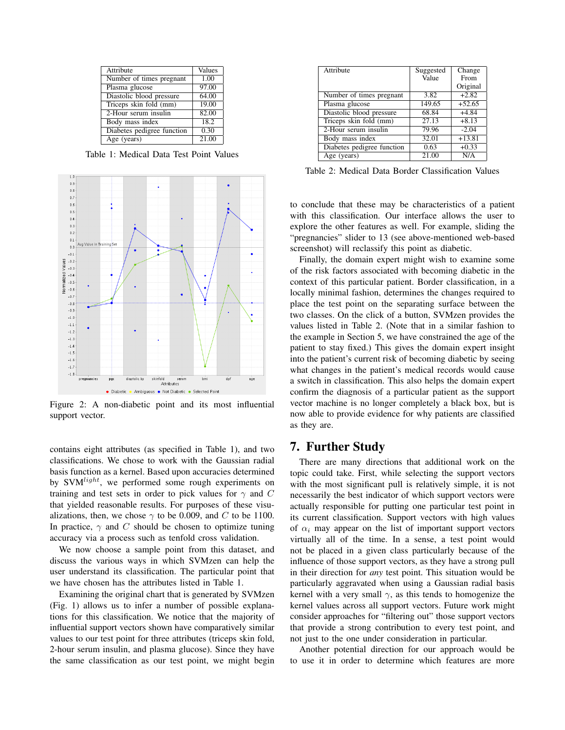| Attribute                  | Values |
|----------------------------|--------|
| Number of times pregnant   | 1.00   |
| Plasma glucose             | 97.00  |
| Diastolic blood pressure   | 64.00  |
| Triceps skin fold (mm)     | 19.00  |
| 2-Hour serum insulin       | 82.00  |
| Body mass index            | 18.2   |
| Diabetes pedigree function | 0.30   |
| Age (years)                | 21.00  |

Table 1: Medical Data Test Point Values



Figure 2: A non-diabetic point and its most influential support vector.

contains eight attributes (as specified in Table 1), and two classifications. We chose to work with the Gaussian radial basis function as a kernel. Based upon accuracies determined by  $SVM<sup>light</sup>$ , we performed some rough experiments on training and test sets in order to pick values for  $\gamma$  and C that yielded reasonable results. For purposes of these visualizations, then, we chose  $\gamma$  to be 0.009, and C to be 1100. In practice,  $\gamma$  and C should be chosen to optimize tuning accuracy via a process such as tenfold cross validation.

We now choose a sample point from this dataset, and discuss the various ways in which SVMzen can help the user understand its classification. The particular point that we have chosen has the attributes listed in Table 1.

Examining the original chart that is generated by SVMzen (Fig. 1) allows us to infer a number of possible explanations for this classification. We notice that the majority of influential support vectors shown have comparatively similar values to our test point for three attributes (triceps skin fold, 2-hour serum insulin, and plasma glucose). Since they have the same classification as our test point, we might begin

| Attribute                  | Suggested         | Change   |
|----------------------------|-------------------|----------|
|                            | Value             | From     |
|                            |                   | Original |
| Number of times pregnant   | 3.82              | $+2.82$  |
| Plasma glucose             | 149.65            | $+52.65$ |
| Diastolic blood pressure   | 68.84             | $+4.84$  |
| Triceps skin fold (mm)     | 27.13             | $+8.13$  |
| 2-Hour serum insulin       | 79.96             | $-2.04$  |
| Body mass index            | 32.01             | $+13.81$ |
| Diabetes pedigree function | $0.\overline{63}$ | $+0.33$  |
| Age (years)                | 21.00             | N/A      |

Table 2: Medical Data Border Classification Values

to conclude that these may be characteristics of a patient with this classification. Our interface allows the user to explore the other features as well. For example, sliding the "pregnancies" slider to 13 (see above-mentioned web-based screenshot) will reclassify this point as diabetic.

Finally, the domain expert might wish to examine some of the risk factors associated with becoming diabetic in the context of this particular patient. Border classification, in a locally minimal fashion, determines the changes required to place the test point on the separating surface between the two classes. On the click of a button, SVMzen provides the values listed in Table 2. (Note that in a similar fashion to the example in Section 5, we have constrained the age of the patient to stay fixed.) This gives the domain expert insight into the patient's current risk of becoming diabetic by seeing what changes in the patient's medical records would cause a switch in classification. This also helps the domain expert confirm the diagnosis of a particular patient as the support vector machine is no longer completely a black box, but is now able to provide evidence for why patients are classified as they are.

# 7. Further Study

There are many directions that additional work on the topic could take. First, while selecting the support vectors with the most significant pull is relatively simple, it is not necessarily the best indicator of which support vectors were actually responsible for putting one particular test point in its current classification. Support vectors with high values of  $\alpha_i$  may appear on the list of important support vectors virtually all of the time. In a sense, a test point would not be placed in a given class particularly because of the influence of those support vectors, as they have a strong pull in their direction for *any* test point. This situation would be particularly aggravated when using a Gaussian radial basis kernel with a very small  $\gamma$ , as this tends to homogenize the kernel values across all support vectors. Future work might consider approaches for "filtering out" those support vectors that provide a strong contribution to every test point, and not just to the one under consideration in particular.

Another potential direction for our approach would be to use it in order to determine which features are more